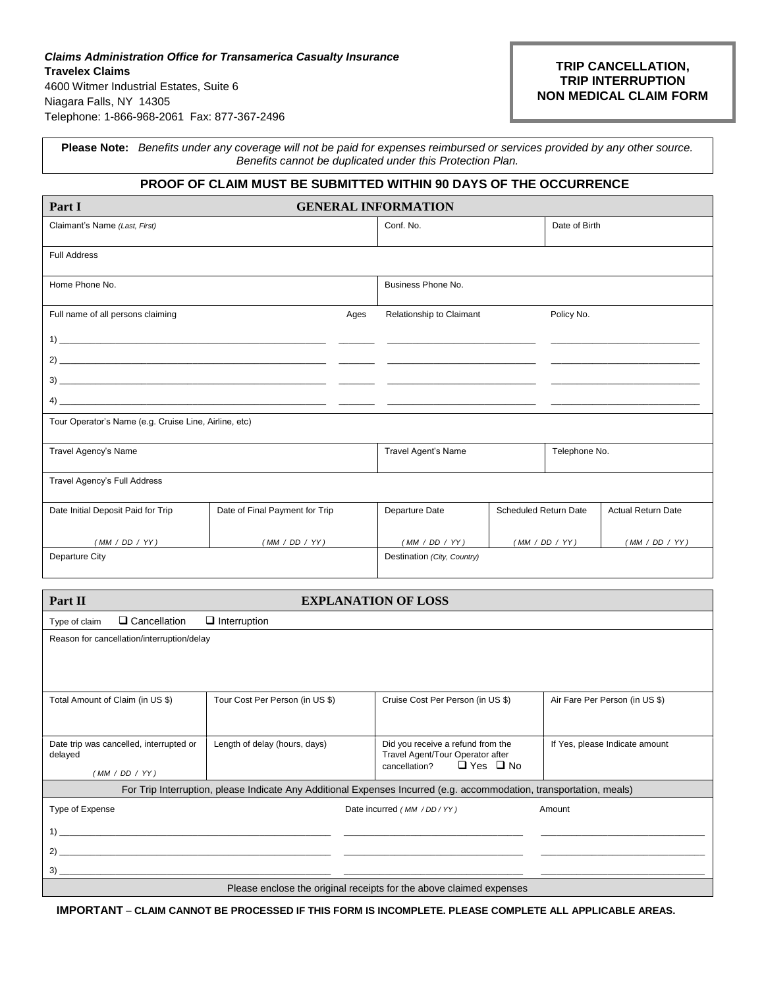# *Claims Administration Office for Transamerica Casualty Insurance* **Travelex Claims** 4600 Witmer Industrial Estates, Suite 6 Niagara Falls, NY 14305 Telephone: 1-866-968-2061Fax: 877-367-2496

# **TRIP CANCELLATION, TRIP INTERRUPTION NON MEDICAL CLAIM FORM**

**Please Note:** *Benefits under any coverage will not be paid for expenses reimbursed or services provided by any other source. Benefits cannot be duplicated under this Protection Plan.*

# **PROOF OF CLAIM MUST BE SUBMITTED WITHIN 90 DAYS OF THE OCCURRENCE**

| Part I                                                | <b>GENERAL INFORMATION</b>     |                             |                          |                              |                |                           |
|-------------------------------------------------------|--------------------------------|-----------------------------|--------------------------|------------------------------|----------------|---------------------------|
| Claimant's Name (Last, First)                         |                                |                             | Conf. No.                |                              | Date of Birth  |                           |
| <b>Full Address</b>                                   |                                |                             |                          |                              |                |                           |
| Home Phone No.                                        |                                |                             | Business Phone No.       |                              |                |                           |
| Full name of all persons claiming                     |                                | Ages                        | Relationship to Claimant | Policy No.                   |                |                           |
|                                                       |                                |                             |                          |                              |                |                           |
|                                                       |                                |                             |                          |                              |                |                           |
|                                                       |                                |                             |                          |                              |                |                           |
|                                                       |                                |                             |                          |                              |                |                           |
| Tour Operator's Name (e.g. Cruise Line, Airline, etc) |                                |                             |                          |                              |                |                           |
| Travel Agency's Name                                  |                                |                             | Travel Agent's Name      |                              | Telephone No.  |                           |
| Travel Agency's Full Address                          |                                |                             |                          |                              |                |                           |
| Date Initial Deposit Paid for Trip                    | Date of Final Payment for Trip |                             | Departure Date           | <b>Scheduled Return Date</b> |                | <b>Actual Return Date</b> |
| (MM / DD / YY)                                        | (MM / DD / YY)                 |                             | (MM / DD / YY)           |                              | (MM / DD / YY) | (MM / DD / YY)            |
| Departure City                                        |                                | Destination (City, Country) |                          |                              |                |                           |
|                                                       |                                |                             |                          |                              |                |                           |

| <b>EXPLANATION OF LOSS</b><br>Part II                                |                                                                                                                      |                                                                                                                     |                                |  |  |
|----------------------------------------------------------------------|----------------------------------------------------------------------------------------------------------------------|---------------------------------------------------------------------------------------------------------------------|--------------------------------|--|--|
| Q Cancellation<br>Type of claim                                      | $\Box$ Interruption                                                                                                  |                                                                                                                     |                                |  |  |
| Reason for cancellation/interruption/delay                           |                                                                                                                      |                                                                                                                     |                                |  |  |
|                                                                      |                                                                                                                      |                                                                                                                     |                                |  |  |
| Total Amount of Claim (in US \$)                                     | Tour Cost Per Person (in US \$)                                                                                      | Cruise Cost Per Person (in US \$)                                                                                   | Air Fare Per Person (in US \$) |  |  |
| Date trip was cancelled, interrupted or<br>delayed<br>(MM / DD / YY) | Length of delay (hours, days)                                                                                        | Did you receive a refund from the<br>Travel Agent/Tour Operator after<br>$\Box$ Yes $\Box$ No<br>cancellation?      | If Yes, please Indicate amount |  |  |
|                                                                      |                                                                                                                      | For Trip Interruption, please Indicate Any Additional Expenses Incurred (e.g. accommodation, transportation, meals) |                                |  |  |
| Type of Expense                                                      |                                                                                                                      | Date incurred (MM / DD/YY)                                                                                          | Amount                         |  |  |
| $\sim$ 1)                                                            |                                                                                                                      |                                                                                                                     |                                |  |  |
| 2)                                                                   | <u> 1990 - Jan James James, martin amerikan basar dan berasal dalam basa dan berasal dalam basa dalam basa dalam</u> |                                                                                                                     |                                |  |  |
| 3)                                                                   |                                                                                                                      |                                                                                                                     |                                |  |  |
| Please enclose the original receipts for the above claimed expenses  |                                                                                                                      |                                                                                                                     |                                |  |  |

**IMPORTANT** – **CLAIM CANNOT BE PROCESSED IF THIS FORM IS INCOMPLETE. PLEASE COMPLETE ALL APPLICABLE AREAS.**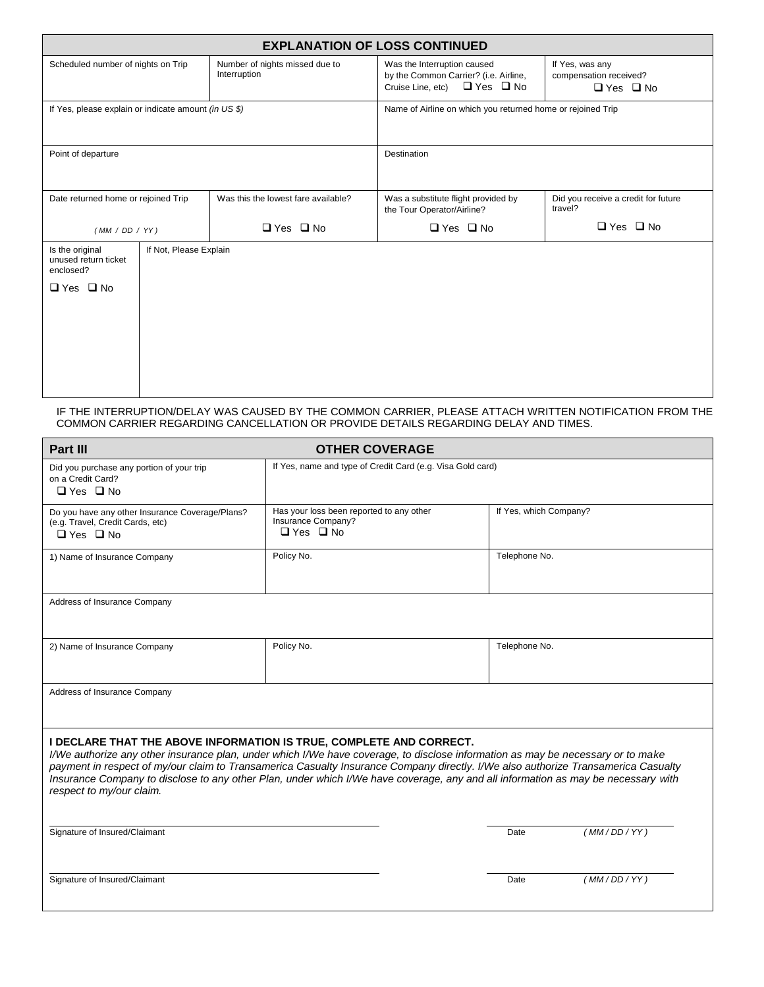| <b>EXPLANATION OF LOSS CONTINUED</b>                                         |                        |                                                             |                                                                                                                |                                                                   |  |
|------------------------------------------------------------------------------|------------------------|-------------------------------------------------------------|----------------------------------------------------------------------------------------------------------------|-------------------------------------------------------------------|--|
| Scheduled number of nights on Trip                                           |                        | Number of nights missed due to<br>Interruption              | Was the Interruption caused<br>by the Common Carrier? (i.e. Airline,<br>Cruise Line, etc) $\Box$ Yes $\Box$ No | If Yes, was any<br>compensation received?<br>$\Box$ Yes $\Box$ No |  |
| If Yes, please explain or indicate amount (in US \$)                         |                        | Name of Airline on which you returned home or rejoined Trip |                                                                                                                |                                                                   |  |
| Point of departure                                                           |                        | Destination                                                 |                                                                                                                |                                                                   |  |
| Date returned home or rejoined Trip                                          |                        | Was this the lowest fare available?                         | Was a substitute flight provided by<br>the Tour Operator/Airline?                                              | Did you receive a credit for future<br>travel?                    |  |
| (MM / DD / YY)                                                               |                        | $\Box$ Yes $\Box$ No                                        | $\Box$ Yes $\Box$ No                                                                                           | $\Box$ Yes $\Box$ No                                              |  |
| Is the original<br>unused return ticket<br>enclosed?<br>$\Box$ Yes $\Box$ No | If Not, Please Explain |                                                             |                                                                                                                |                                                                   |  |

IF THE INTERRUPTION/DELAY WAS CAUSED BY THE COMMON CARRIER, PLEASE ATTACH WRITTEN NOTIFICATION FROM THE COMMON CARRIER REGARDING CANCELLATION OR PROVIDE DETAILS REGARDING DELAY AND TIMES.

| Part III                                                                                                                                                                                                                                                                                                                                                                                                                                                                                                     | <b>OTHER COVERAGE</b>                                                                  |                        |            |  |  |
|--------------------------------------------------------------------------------------------------------------------------------------------------------------------------------------------------------------------------------------------------------------------------------------------------------------------------------------------------------------------------------------------------------------------------------------------------------------------------------------------------------------|----------------------------------------------------------------------------------------|------------------------|------------|--|--|
| Did you purchase any portion of your trip<br>on a Credit Card?<br>$\Box$ Yes $\Box$ No                                                                                                                                                                                                                                                                                                                                                                                                                       | If Yes, name and type of Credit Card (e.g. Visa Gold card)                             |                        |            |  |  |
| Do you have any other Insurance Coverage/Plans?<br>(e.g. Travel, Credit Cards, etc)<br>$\Box$ Yes $\Box$ No                                                                                                                                                                                                                                                                                                                                                                                                  | Has your loss been reported to any other<br>Insurance Company?<br>$\Box$ Yes $\Box$ No | If Yes, which Company? |            |  |  |
| 1) Name of Insurance Company                                                                                                                                                                                                                                                                                                                                                                                                                                                                                 | Policy No.                                                                             | Telephone No.          |            |  |  |
| Address of Insurance Company                                                                                                                                                                                                                                                                                                                                                                                                                                                                                 |                                                                                        |                        |            |  |  |
| 2) Name of Insurance Company                                                                                                                                                                                                                                                                                                                                                                                                                                                                                 | Policy No.                                                                             | Telephone No.          |            |  |  |
| Address of Insurance Company                                                                                                                                                                                                                                                                                                                                                                                                                                                                                 |                                                                                        |                        |            |  |  |
| I DECLARE THAT THE ABOVE INFORMATION IS TRUE, COMPLETE AND CORRECT.<br>I/We authorize any other insurance plan, under which I/We have coverage, to disclose information as may be necessary or to make<br>payment in respect of my/our claim to Transamerica Casualty Insurance Company directly. I/We also authorize Transamerica Casualty<br>Insurance Company to disclose to any other Plan, under which I/We have coverage, any and all information as may be necessary with<br>respect to my/our claim. |                                                                                        |                        |            |  |  |
| Signature of Insured/Claimant                                                                                                                                                                                                                                                                                                                                                                                                                                                                                |                                                                                        | Date                   | (MM/DD/YY) |  |  |
| Signature of Insured/Claimant                                                                                                                                                                                                                                                                                                                                                                                                                                                                                |                                                                                        | Date                   | (MM/DD/YY) |  |  |